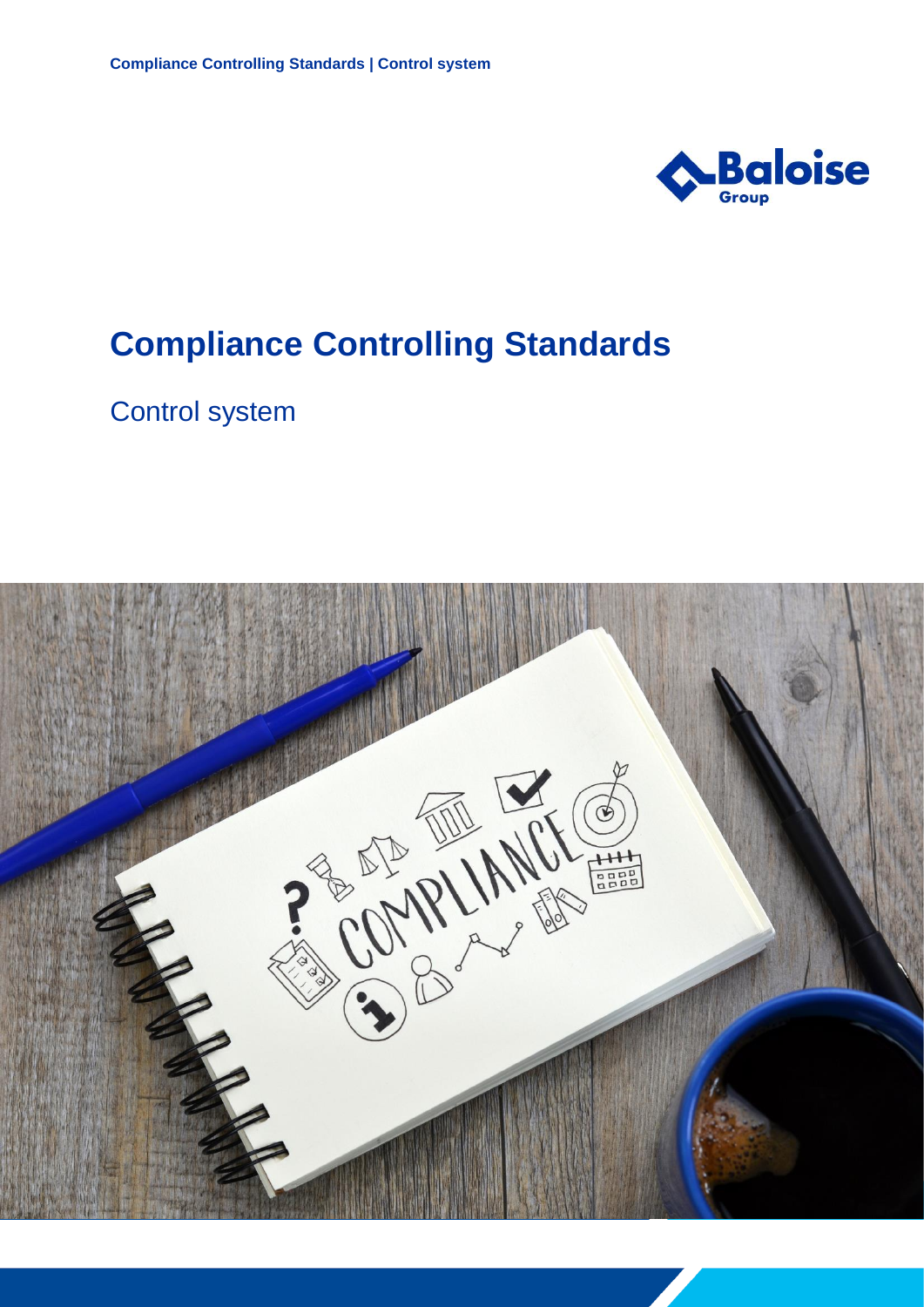

## **Compliance Controlling Standards**

Control system

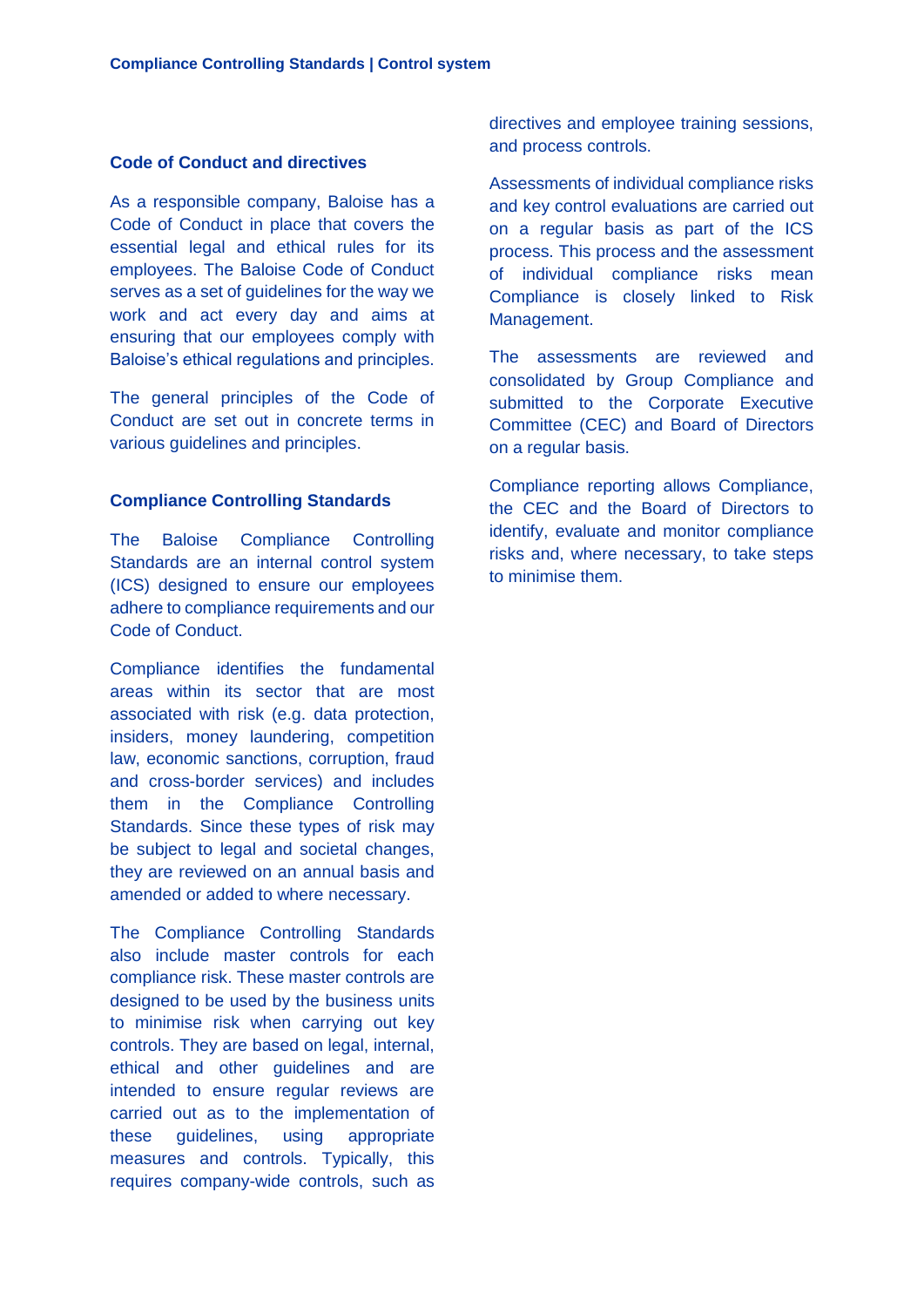## **Code of Conduct and directives**

As a responsible company, Baloise has a Code of Conduct in place that covers the essential legal and ethical rules for its employees. The Baloise Code of Conduct serves as a set of guidelines for the way we work and act every day and aims at ensuring that our employees comply with Baloise's ethical regulations and principles.

The general principles of the Code of Conduct are set out in concrete terms in various guidelines and principles.

## **Compliance Controlling Standards**

The Baloise Compliance Controlling Standards are an internal control system (ICS) designed to ensure our employees adhere to compliance requirements and our Code of Conduct.

Compliance identifies the fundamental areas within its sector that are most associated with risk (e.g. data protection, insiders, money laundering, competition law, economic sanctions, corruption, fraud and cross-border services) and includes them in the Compliance Controlling Standards. Since these types of risk may be subject to legal and societal changes, they are reviewed on an annual basis and amended or added to where necessary.

The Compliance Controlling Standards also include master controls for each compliance risk. These master controls are designed to be used by the business units to minimise risk when carrying out key controls. They are based on legal, internal, ethical and other guidelines and are intended to ensure regular reviews are carried out as to the implementation of these guidelines, using appropriate measures and controls. Typically, this requires company-wide controls, such as

directives and employee training sessions, and process controls.

Assessments of individual compliance risks and key control evaluations are carried out on a regular basis as part of the ICS process. This process and the assessment of individual compliance risks mean Compliance is closely linked to Risk Management.

The assessments are reviewed and consolidated by Group Compliance and submitted to the Corporate Executive Committee (CEC) and Board of Directors on a regular basis.

Compliance reporting allows Compliance, the CEC and the Board of Directors to identify, evaluate and monitor compliance risks and, where necessary, to take steps to minimise them.